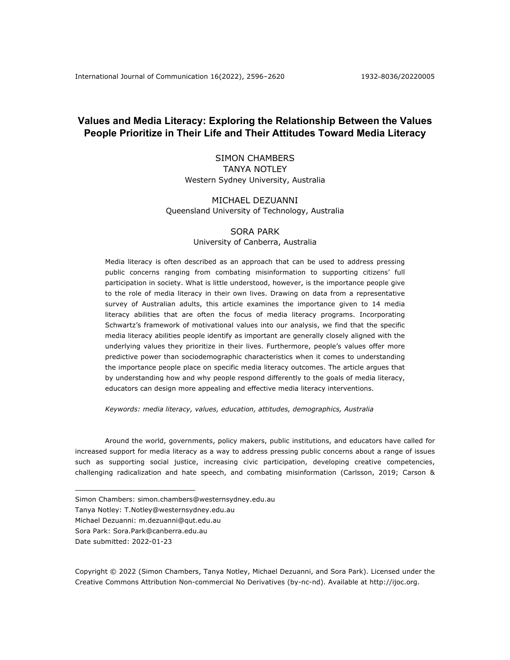# **Values and Media Literacy: Exploring the Relationship Between the Values People Prioritize in Their Life and Their Attitudes Toward Media Literacy**

# SIMON CHAMBERS TANYA NOTLEY Western Sydney University, Australia

# MICHAEL DEZUANNI Queensland University of Technology, Australia

# SORA PARK University of Canberra, Australia

Media literacy is often described as an approach that can be used to address pressing public concerns ranging from combating misinformation to supporting citizens' full participation in society. What is little understood, however, is the importance people give to the role of media literacy in their own lives. Drawing on data from a representative survey of Australian adults, this article examines the importance given to 14 media literacy abilities that are often the focus of media literacy programs. Incorporating Schwartz's framework of motivational values into our analysis, we find that the specific media literacy abilities people identify as important are generally closely aligned with the underlying values they prioritize in their lives. Furthermore, people's values offer more predictive power than sociodemographic characteristics when it comes to understanding the importance people place on specific media literacy outcomes. The article argues that by understanding how and why people respond differently to the goals of media literacy, educators can design more appealing and effective media literacy interventions.

*Keywords: media literacy, values, education, attitudes, demographics, Australia*

Around the world, governments, policy makers, public institutions, and educators have called for increased support for media literacy as a way to address pressing public concerns about a range of issues such as supporting social justice, increasing civic participation, developing creative competencies, challenging radicalization and hate speech, and combating misinformation (Carlsson, 2019; Carson &

Simon Chambers: simon.chambers@westernsydney.edu.au

Tanya Notley: T.Notley@westernsydney.edu.au

Michael Dezuanni: m.dezuanni@qut.edu.au

Sora Park: Sora.Park@canberra.edu.au

Date submitted: 2022-01-23

Copyright © 2022 (Simon Chambers, Tanya Notley, Michael Dezuanni, and Sora Park). Licensed under the Creative Commons Attribution Non-commercial No Derivatives (by-nc-nd). Available at http://ijoc.org.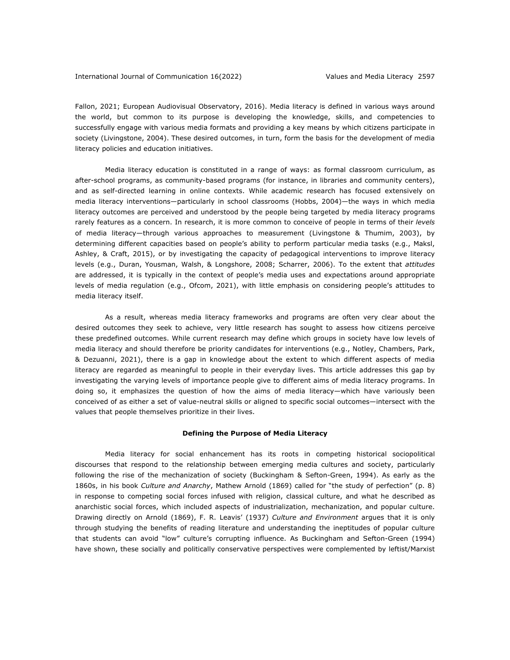Fallon, 2021; European Audiovisual Observatory, 2016). Media literacy is defined in various ways around the world, but common to its purpose is developing the knowledge, skills, and competencies to successfully engage with various media formats and providing a key means by which citizens participate in society (Livingstone, 2004). These desired outcomes, in turn, form the basis for the development of media literacy policies and education initiatives.

Media literacy education is constituted in a range of ways: as formal classroom curriculum, as after-school programs, as community-based programs (for instance, in libraries and community centers), and as self-directed learning in online contexts. While academic research has focused extensively on media literacy interventions—particularly in school classrooms (Hobbs, 2004)—the ways in which media literacy outcomes are perceived and understood by the people being targeted by media literacy programs rarely features as a concern. In research, it is more common to conceive of people in terms of their *levels* of media literacy—through various approaches to measurement (Livingstone & Thumim, 2003), by determining different capacities based on people's ability to perform particular media tasks (e.g., Maksl, Ashley, & Craft, 2015), or by investigating the capacity of pedagogical interventions to improve literacy levels (e.g., Duran, Yousman, Walsh, & Longshore, 2008; Scharrer, 2006). To the extent that *attitudes* are addressed, it is typically in the context of people's media uses and expectations around appropriate levels of media regulation (e.g., Ofcom, 2021), with little emphasis on considering people's attitudes to media literacy itself.

As a result, whereas media literacy frameworks and programs are often very clear about the desired outcomes they seek to achieve, very little research has sought to assess how citizens perceive these predefined outcomes. While current research may define which groups in society have low levels of media literacy and should therefore be priority candidates for interventions (e.g., Notley, Chambers, Park, & Dezuanni, 2021), there is a gap in knowledge about the extent to which different aspects of media literacy are regarded as meaningful to people in their everyday lives. This article addresses this gap by investigating the varying levels of importance people give to different aims of media literacy programs. In doing so, it emphasizes the question of how the aims of media literacy—which have variously been conceived of as either a set of value-neutral skills or aligned to specific social outcomes—intersect with the values that people themselves prioritize in their lives.

## **Defining the Purpose of Media Literacy**

Media literacy for social enhancement has its roots in competing historical sociopolitical discourses that respond to the relationship between emerging media cultures and society, particularly following the rise of the mechanization of society (Buckingham & Sefton-Green, 1994). As early as the 1860s, in his book *Culture and Anarchy*, Mathew Arnold (1869) called for "the study of perfection" (p. 8) in response to competing social forces infused with religion, classical culture, and what he described as anarchistic social forces, which included aspects of industrialization, mechanization, and popular culture. Drawing directly on Arnold (1869), F. R. Leavis' (1937) *Culture and Environment* argues that it is only through studying the benefits of reading literature and understanding the ineptitudes of popular culture that students can avoid "low" culture's corrupting influence. As Buckingham and Sefton-Green (1994) have shown, these socially and politically conservative perspectives were complemented by leftist/Marxist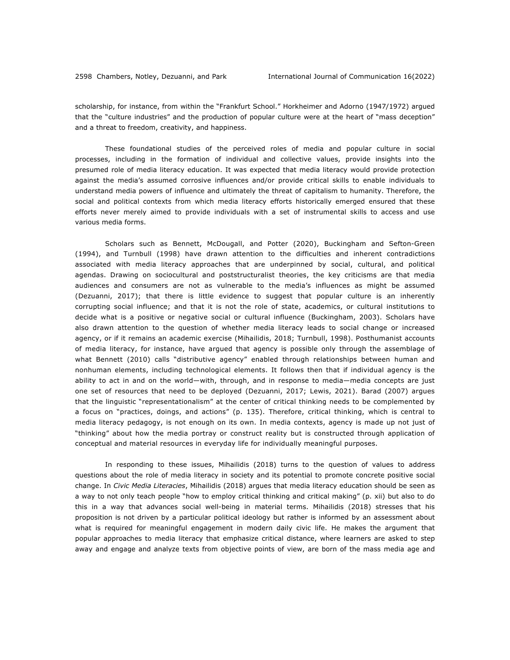scholarship, for instance, from within the "Frankfurt School." Horkheimer and Adorno (1947/1972) argued that the "culture industries" and the production of popular culture were at the heart of "mass deception" and a threat to freedom, creativity, and happiness.

These foundational studies of the perceived roles of media and popular culture in social processes, including in the formation of individual and collective values, provide insights into the presumed role of media literacy education. It was expected that media literacy would provide protection against the media's assumed corrosive influences and/or provide critical skills to enable individuals to understand media powers of influence and ultimately the threat of capitalism to humanity. Therefore, the social and political contexts from which media literacy efforts historically emerged ensured that these efforts never merely aimed to provide individuals with a set of instrumental skills to access and use various media forms.

Scholars such as Bennett, McDougall, and Potter (2020), Buckingham and Sefton-Green (1994), and Turnbull (1998) have drawn attention to the difficulties and inherent contradictions associated with media literacy approaches that are underpinned by social, cultural, and political agendas. Drawing on sociocultural and poststructuralist theories, the key criticisms are that media audiences and consumers are not as vulnerable to the media's influences as might be assumed (Dezuanni, 2017); that there is little evidence to suggest that popular culture is an inherently corrupting social influence; and that it is not the role of state, academics, or cultural institutions to decide what is a positive or negative social or cultural influence (Buckingham, 2003). Scholars have also drawn attention to the question of whether media literacy leads to social change or increased agency, or if it remains an academic exercise (Mihailidis, 2018; Turnbull, 1998). Posthumanist accounts of media literacy, for instance, have argued that agency is possible only through the assemblage of what Bennett (2010) calls "distributive agency" enabled through relationships between human and nonhuman elements, including technological elements. It follows then that if individual agency is the ability to act in and on the world—with, through, and in response to media—media concepts are just one set of resources that need to be deployed (Dezuanni, 2017; Lewis, 2021). Barad (2007) argues that the linguistic "representationalism" at the center of critical thinking needs to be complemented by a focus on "practices, doings, and actions" (p. 135). Therefore, critical thinking, which is central to media literacy pedagogy, is not enough on its own. In media contexts, agency is made up not just of "thinking" about how the media portray or construct reality but is constructed through application of conceptual and material resources in everyday life for individually meaningful purposes.

In responding to these issues, Mihailidis (2018) turns to the question of values to address questions about the role of media literacy in society and its potential to promote concrete positive social change. In *Civic Media Literacies*, Mihailidis (2018) argues that media literacy education should be seen as a way to not only teach people "how to employ critical thinking and critical making" (p. xii) but also to do this in a way that advances social well-being in material terms. Mihailidis (2018) stresses that his proposition is not driven by a particular political ideology but rather is informed by an assessment about what is required for meaningful engagement in modern daily civic life. He makes the argument that popular approaches to media literacy that emphasize critical distance, where learners are asked to step away and engage and analyze texts from objective points of view, are born of the mass media age and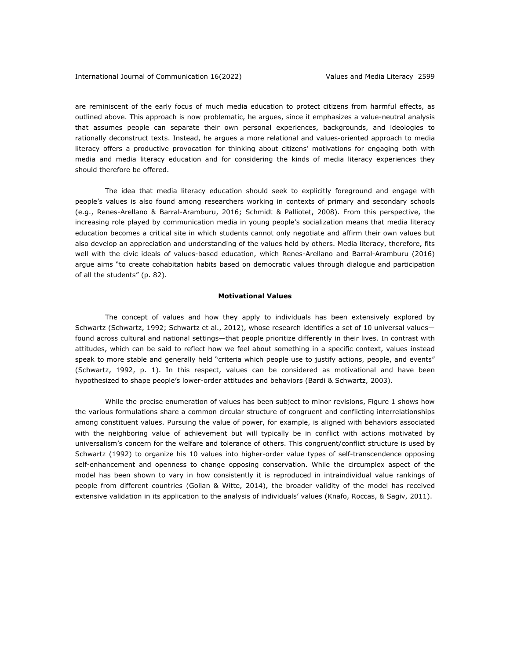are reminiscent of the early focus of much media education to protect citizens from harmful effects, as outlined above. This approach is now problematic, he argues, since it emphasizes a value-neutral analysis that assumes people can separate their own personal experiences, backgrounds, and ideologies to rationally deconstruct texts. Instead, he argues a more relational and values-oriented approach to media literacy offers a productive provocation for thinking about citizens' motivations for engaging both with media and media literacy education and for considering the kinds of media literacy experiences they should therefore be offered.

The idea that media literacy education should seek to explicitly foreground and engage with people's values is also found among researchers working in contexts of primary and secondary schools (e.g., Renes-Arellano & Barral-Aramburu, 2016; Schmidt & Palliotet, 2008). From this perspective, the increasing role played by communication media in young people's socialization means that media literacy education becomes a critical site in which students cannot only negotiate and affirm their own values but also develop an appreciation and understanding of the values held by others. Media literacy, therefore, fits well with the civic ideals of values-based education, which Renes-Arellano and Barral-Aramburu (2016) argue aims "to create cohabitation habits based on democratic values through dialogue and participation of all the students" (p. 82).

## **Motivational Values**

The concept of values and how they apply to individuals has been extensively explored by Schwartz (Schwartz, 1992; Schwartz et al., 2012), whose research identifies a set of 10 universal values found across cultural and national settings—that people prioritize differently in their lives. In contrast with attitudes, which can be said to reflect how we feel about something in a specific context, values instead speak to more stable and generally held "criteria which people use to justify actions, people, and events" (Schwartz, 1992, p. 1). In this respect, values can be considered as motivational and have been hypothesized to shape people's lower-order attitudes and behaviors (Bardi & Schwartz, 2003).

While the precise enumeration of values has been subject to minor revisions, Figure 1 shows how the various formulations share a common circular structure of congruent and conflicting interrelationships among constituent values. Pursuing the value of power, for example, is aligned with behaviors associated with the neighboring value of achievement but will typically be in conflict with actions motivated by universalism's concern for the welfare and tolerance of others. This congruent/conflict structure is used by Schwartz (1992) to organize his 10 values into higher-order value types of self-transcendence opposing self-enhancement and openness to change opposing conservation. While the circumplex aspect of the model has been shown to vary in how consistently it is reproduced in intraindividual value rankings of people from different countries (Gollan & Witte, 2014), the broader validity of the model has received extensive validation in its application to the analysis of individuals' values (Knafo, Roccas, & Sagiv, 2011).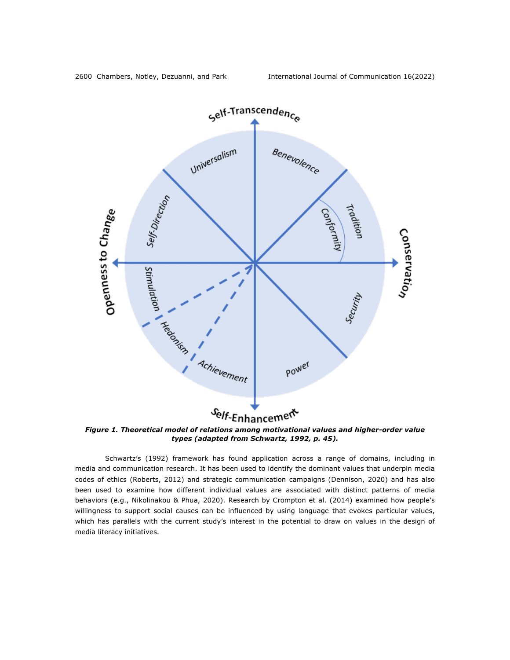

*Figure 1. Theoretical model of relations among motivational values and higher-order value types (adapted from Schwartz, 1992, p. 45).*

Schwartz's (1992) framework has found application across a range of domains, including in media and communication research. It has been used to identify the dominant values that underpin media codes of ethics (Roberts, 2012) and strategic communication campaigns (Dennison, 2020) and has also been used to examine how different individual values are associated with distinct patterns of media behaviors (e.g., Nikolinakou & Phua, 2020). Research by Crompton et al. (2014) examined how people's willingness to support social causes can be influenced by using language that evokes particular values, which has parallels with the current study's interest in the potential to draw on values in the design of media literacy initiatives.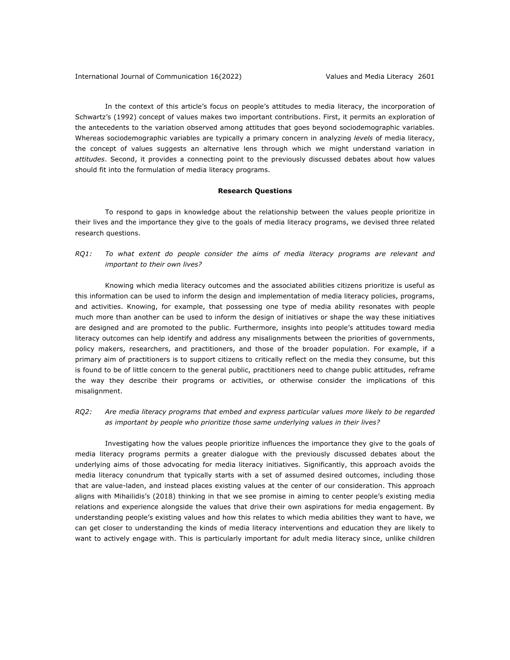In the context of this article's focus on people's attitudes to media literacy, the incorporation of Schwartz's (1992) concept of values makes two important contributions. First, it permits an exploration of the antecedents to the variation observed among attitudes that goes beyond sociodemographic variables. Whereas sociodemographic variables are typically a primary concern in analyzing *levels* of media literacy, the concept of values suggests an alternative lens through which we might understand variation in *attitudes*. Second, it provides a connecting point to the previously discussed debates about how values should fit into the formulation of media literacy programs.

## **Research Questions**

To respond to gaps in knowledge about the relationship between the values people prioritize in their lives and the importance they give to the goals of media literacy programs, we devised three related research questions.

*RQ1: To what extent do people consider the aims of media literacy programs are relevant and important to their own lives?*

Knowing which media literacy outcomes and the associated abilities citizens prioritize is useful as this information can be used to inform the design and implementation of media literacy policies, programs, and activities. Knowing, for example, that possessing one type of media ability resonates with people much more than another can be used to inform the design of initiatives or shape the way these initiatives are designed and are promoted to the public. Furthermore, insights into people's attitudes toward media literacy outcomes can help identify and address any misalignments between the priorities of governments, policy makers, researchers, and practitioners, and those of the broader population. For example, if a primary aim of practitioners is to support citizens to critically reflect on the media they consume, but this is found to be of little concern to the general public, practitioners need to change public attitudes, reframe the way they describe their programs or activities, or otherwise consider the implications of this misalignment.

*RQ2: Are media literacy programs that embed and express particular values more likely to be regarded as important by people who prioritize those same underlying values in their lives?*

Investigating how the values people prioritize influences the importance they give to the goals of media literacy programs permits a greater dialogue with the previously discussed debates about the underlying aims of those advocating for media literacy initiatives. Significantly, this approach avoids the media literacy conundrum that typically starts with a set of assumed desired outcomes, including those that are value-laden, and instead places existing values at the center of our consideration. This approach aligns with Mihailidis's (2018) thinking in that we see promise in aiming to center people's existing media relations and experience alongside the values that drive their own aspirations for media engagement. By understanding people's existing values and how this relates to which media abilities they want to have, we can get closer to understanding the kinds of media literacy interventions and education they are likely to want to actively engage with. This is particularly important for adult media literacy since, unlike children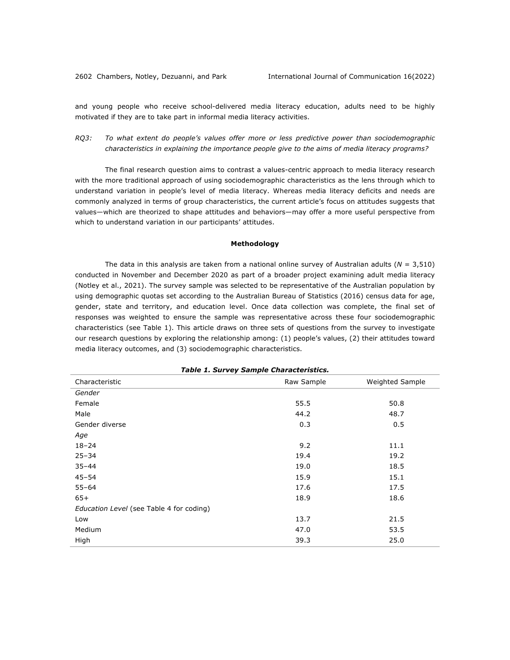and young people who receive school-delivered media literacy education, adults need to be highly motivated if they are to take part in informal media literacy activities.

*RQ3: To what extent do people's values offer more or less predictive power than sociodemographic characteristics in explaining the importance people give to the aims of media literacy programs?*

The final research question aims to contrast a values-centric approach to media literacy research with the more traditional approach of using sociodemographic characteristics as the lens through which to understand variation in people's level of media literacy. Whereas media literacy deficits and needs are commonly analyzed in terms of group characteristics, the current article's focus on attitudes suggests that values—which are theorized to shape attitudes and behaviors—may offer a more useful perspective from which to understand variation in our participants' attitudes.

### **Methodology**

The data in this analysis are taken from a national online survey of Australian adults (*N* = 3,510) conducted in November and December 2020 as part of a broader project examining adult media literacy (Notley et al., 2021). The survey sample was selected to be representative of the Australian population by using demographic quotas set according to the Australian Bureau of Statistics (2016) census data for age, gender, state and territory, and education level. Once data collection was complete, the final set of responses was weighted to ensure the sample was representative across these four sociodemographic characteristics (see Table 1). This article draws on three sets of questions from the survey to investigate our research questions by exploring the relationship among: (1) people's values, (2) their attitudes toward media literacy outcomes, and (3) sociodemographic characteristics.

| rasio er sar roy sample enaracteristics. |                 |  |  |  |  |  |  |
|------------------------------------------|-----------------|--|--|--|--|--|--|
| Raw Sample                               | Weighted Sample |  |  |  |  |  |  |
|                                          |                 |  |  |  |  |  |  |
| 55.5                                     | 50.8            |  |  |  |  |  |  |
| 44.2                                     | 48.7            |  |  |  |  |  |  |
| 0.3                                      | 0.5             |  |  |  |  |  |  |
|                                          |                 |  |  |  |  |  |  |
| 9.2                                      | 11.1            |  |  |  |  |  |  |
| 19.4                                     | 19.2            |  |  |  |  |  |  |
| 19.0                                     | 18.5            |  |  |  |  |  |  |
| 15.9                                     | 15.1            |  |  |  |  |  |  |
| 17.6                                     | 17.5            |  |  |  |  |  |  |
| 18.9                                     | 18.6            |  |  |  |  |  |  |
|                                          |                 |  |  |  |  |  |  |
| 13.7                                     | 21.5            |  |  |  |  |  |  |
| 47.0                                     | 53.5            |  |  |  |  |  |  |
| 39.3                                     | 25.0            |  |  |  |  |  |  |
|                                          |                 |  |  |  |  |  |  |

*Table 1. Survey Sample Characteristics.*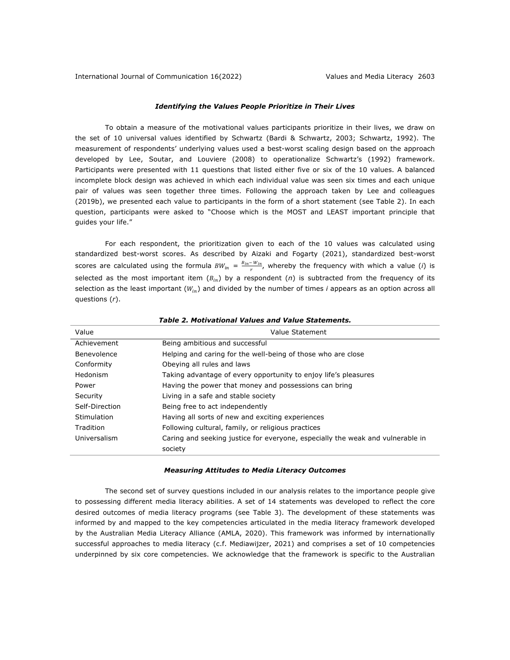# *Identifying the Values People Prioritize in Their Lives*

To obtain a measure of the motivational values participants prioritize in their lives, we draw on the set of 10 universal values identified by Schwartz (Bardi & Schwartz, 2003; Schwartz, 1992). The measurement of respondents' underlying values used a best-worst scaling design based on the approach developed by Lee, Soutar, and Louviere (2008) to operationalize Schwartz's (1992) framework. Participants were presented with 11 questions that listed either five or six of the 10 values. A balanced incomplete block design was achieved in which each individual value was seen six times and each unique pair of values was seen together three times. Following the approach taken by Lee and colleagues (2019b), we presented each value to participants in the form of a short statement (see Table 2). In each question, participants were asked to "Choose which is the MOST and LEAST important principle that guides your life."

For each respondent, the prioritization given to each of the 10 values was calculated using standardized best-worst scores. As described by Aizaki and Fogarty (2021), standardized best-worst scores are calculated using the formula  $BW_{in} = \frac{B_{in} - W_{in}}{r}$ , whereby the frequency with which a value (*i*) is selected as the most important item  $(B_{in})$  by a respondent (*n*) is subtracted from the frequency of its selection as the least important ( $W_{in}$ ) and divided by the number of times *i* appears as an option across all questions (*r*).

| Value          | Value Statement                                                                |
|----------------|--------------------------------------------------------------------------------|
| Achievement    | Being ambitious and successful                                                 |
| Benevolence    | Helping and caring for the well-being of those who are close                   |
| Conformity     | Obeying all rules and laws                                                     |
| Hedonism       | Taking advantage of every opportunity to enjoy life's pleasures                |
| Power          | Having the power that money and possessions can bring                          |
| Security       | Living in a safe and stable society                                            |
| Self-Direction | Being free to act independently                                                |
| Stimulation    | Having all sorts of new and exciting experiences                               |
| Tradition      | Following cultural, family, or religious practices                             |
| Universalism   | Caring and seeking justice for everyone, especially the weak and vulnerable in |
|                | society                                                                        |

*Table 2. Motivational Values and Value Statements.*

#### *Measuring Attitudes to Media Literacy Outcomes*

The second set of survey questions included in our analysis relates to the importance people give to possessing different media literacy abilities. A set of 14 statements was developed to reflect the core desired outcomes of media literacy programs (see Table 3). The development of these statements was informed by and mapped to the key competencies articulated in the media literacy framework developed by the Australian Media Literacy Alliance (AMLA, 2020). This framework was informed by internationally successful approaches to media literacy (c.f. Mediawijzer, 2021) and comprises a set of 10 competencies underpinned by six core competencies. We acknowledge that the framework is specific to the Australian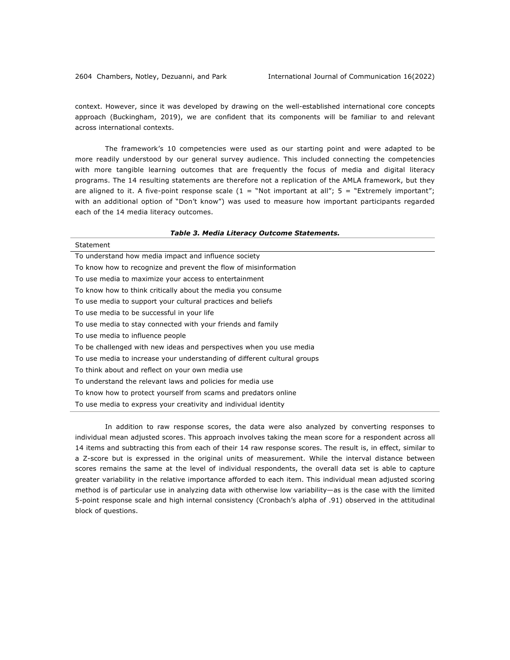context. However, since it was developed by drawing on the well-established international core concepts approach (Buckingham, 2019), we are confident that its components will be familiar to and relevant across international contexts.

The framework's 10 competencies were used as our starting point and were adapted to be more readily understood by our general survey audience. This included connecting the competencies with more tangible learning outcomes that are frequently the focus of media and digital literacy programs. The 14 resulting statements are therefore not a replication of the AMLA framework, but they are aligned to it. A five-point response scale  $(1 = "Not important at all"; 5 = "Extremely important";$ with an additional option of "Don't know") was used to measure how important participants regarded each of the 14 media literacy outcomes.

| Table 3. Media Literacy Outcome Statements.                              |
|--------------------------------------------------------------------------|
| Statement                                                                |
| To understand how media impact and influence society                     |
| To know how to recognize and prevent the flow of misinformation          |
| To use media to maximize your access to entertainment                    |
| To know how to think critically about the media you consume              |
| To use media to support your cultural practices and beliefs              |
| To use media to be successful in your life                               |
| To use media to stay connected with your friends and family              |
| To use media to influence people                                         |
| To be challenged with new ideas and perspectives when you use media      |
| To use media to increase your understanding of different cultural groups |
| To think about and reflect on your own media use                         |
| To understand the relevant laws and policies for media use               |
| To know how to protect yourself from scams and predators online          |
| To use media to express your creativity and individual identity          |

In addition to raw response scores, the data were also analyzed by converting responses to individual mean adjusted scores. This approach involves taking the mean score for a respondent across all 14 items and subtracting this from each of their 14 raw response scores. The result is, in effect, similar to a Z-score but is expressed in the original units of measurement. While the interval distance between scores remains the same at the level of individual respondents, the overall data set is able to capture greater variability in the relative importance afforded to each item. This individual mean adjusted scoring method is of particular use in analyzing data with otherwise low variability—as is the case with the limited 5-point response scale and high internal consistency (Cronbach's alpha of .91) observed in the attitudinal block of questions.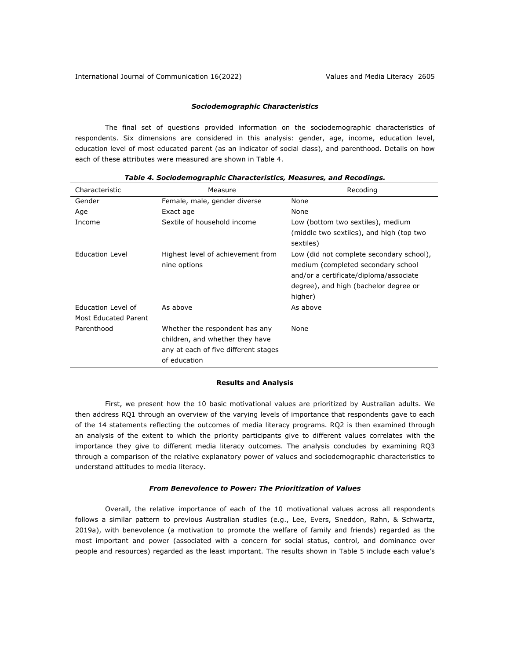# *Sociodemographic Characteristics*

The final set of questions provided information on the sociodemographic characteristics of respondents. Six dimensions are considered in this analysis: gender, age, income, education level, education level of most educated parent (as an indicator of social class), and parenthood. Details on how each of these attributes were measured are shown in Table 4.

| Characteristic       | Measure                                                                                                                   | Recoding                                                                                                                                                                     |
|----------------------|---------------------------------------------------------------------------------------------------------------------------|------------------------------------------------------------------------------------------------------------------------------------------------------------------------------|
| Gender               | Female, male, gender diverse                                                                                              | None                                                                                                                                                                         |
| Age                  | Exact age                                                                                                                 | None                                                                                                                                                                         |
| Income               | Sextile of household income                                                                                               | Low (bottom two sextiles), medium                                                                                                                                            |
|                      |                                                                                                                           | (middle two sextiles), and high (top two<br>sextiles)                                                                                                                        |
| Education Level      | Highest level of achievement from<br>nine options                                                                         | Low (did not complete secondary school),<br>medium (completed secondary school<br>and/or a certificate/diploma/associate<br>degree), and high (bachelor degree or<br>higher) |
| Education Level of   | As above                                                                                                                  | As above                                                                                                                                                                     |
| Most Educated Parent |                                                                                                                           |                                                                                                                                                                              |
| Parenthood           | Whether the respondent has any<br>children, and whether they have<br>any at each of five different stages<br>of education | None                                                                                                                                                                         |

### *Table 4. Sociodemographic Characteristics, Measures, and Recodings.*

#### **Results and Analysis**

First, we present how the 10 basic motivational values are prioritized by Australian adults. We then address RQ1 through an overview of the varying levels of importance that respondents gave to each of the 14 statements reflecting the outcomes of media literacy programs. RQ2 is then examined through an analysis of the extent to which the priority participants give to different values correlates with the importance they give to different media literacy outcomes. The analysis concludes by examining RQ3 through a comparison of the relative explanatory power of values and sociodemographic characteristics to understand attitudes to media literacy.

#### *From Benevolence to Power: The Prioritization of Values*

Overall, the relative importance of each of the 10 motivational values across all respondents follows a similar pattern to previous Australian studies (e.g., Lee, Evers, Sneddon, Rahn, & Schwartz, 2019a), with benevolence (a motivation to promote the welfare of family and friends) regarded as the most important and power (associated with a concern for social status, control, and dominance over people and resources) regarded as the least important. The results shown in Table 5 include each value's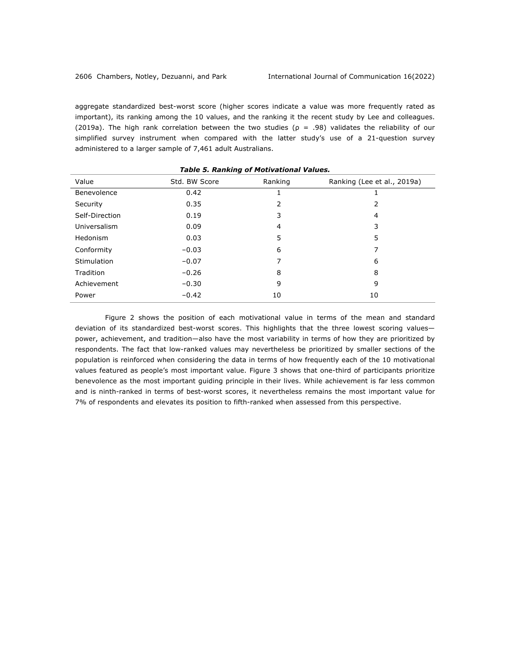aggregate standardized best-worst score (higher scores indicate a value was more frequently rated as important), its ranking among the 10 values, and the ranking it the recent study by Lee and colleagues. (2019a). The high rank correlation between the two studies ( $p = .98$ ) validates the reliability of our simplified survey instrument when compared with the latter study's use of a 21-question survey administered to a larger sample of 7,461 adult Australians.

*Table 5. Ranking of Motivational Values.*

| rapic <i>J.</i> Rahking of Plotivational values. |               |         |                             |  |  |  |  |
|--------------------------------------------------|---------------|---------|-----------------------------|--|--|--|--|
| Value                                            | Std. BW Score | Ranking | Ranking (Lee et al., 2019a) |  |  |  |  |
| Benevolence                                      | 0.42          |         |                             |  |  |  |  |
| Security                                         | 0.35          | 2       | 2                           |  |  |  |  |
| Self-Direction                                   | 0.19          | 3       | 4                           |  |  |  |  |
| Universalism                                     | 0.09          | 4       | 3                           |  |  |  |  |
| Hedonism                                         | 0.03          | 5       | 5                           |  |  |  |  |
| Conformity                                       | $-0.03$       | 6       | 7                           |  |  |  |  |
| Stimulation                                      | $-0.07$       | ⇁       | 6                           |  |  |  |  |
| Tradition                                        | $-0.26$       | 8       | 8                           |  |  |  |  |
| Achievement                                      | $-0.30$       | 9       | 9                           |  |  |  |  |
| Power                                            | $-0.42$       | 10      | 10                          |  |  |  |  |
|                                                  |               |         |                             |  |  |  |  |

Figure 2 shows the position of each motivational value in terms of the mean and standard deviation of its standardized best-worst scores. This highlights that the three lowest scoring values power, achievement, and tradition—also have the most variability in terms of how they are prioritized by respondents. The fact that low-ranked values may nevertheless be prioritized by smaller sections of the population is reinforced when considering the data in terms of how frequently each of the 10 motivational values featured as people's most important value. Figure 3 shows that one-third of participants prioritize benevolence as the most important guiding principle in their lives. While achievement is far less common and is ninth-ranked in terms of best-worst scores, it nevertheless remains the most important value for 7% of respondents and elevates its position to fifth-ranked when assessed from this perspective.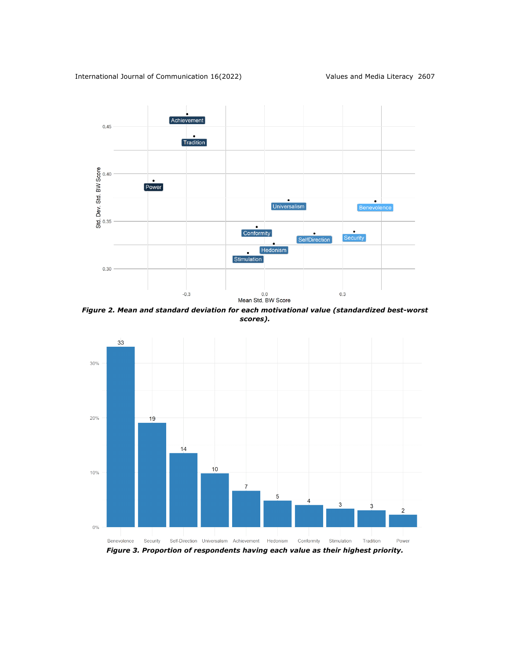

*Figure 2. Mean and standard deviation for each motivational value (standardized best-worst scores).*

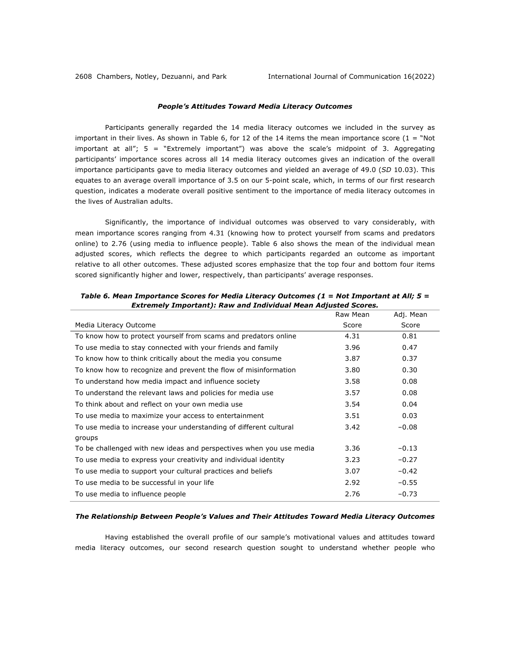# *People's Attitudes Toward Media Literacy Outcomes*

Participants generally regarded the 14 media literacy outcomes we included in the survey as important in their lives. As shown in Table 6, for 12 of the 14 items the mean importance score ( $1 =$  "Not important at all"; 5 = "Extremely important") was above the scale's midpoint of 3. Aggregating participants' importance scores across all 14 media literacy outcomes gives an indication of the overall importance participants gave to media literacy outcomes and yielded an average of 49.0 (*SD* 10.03). This equates to an average overall importance of 3.5 on our 5-point scale, which, in terms of our first research question, indicates a moderate overall positive sentiment to the importance of media literacy outcomes in the lives of Australian adults.

Significantly, the importance of individual outcomes was observed to vary considerably, with mean importance scores ranging from 4.31 (knowing how to protect yourself from scams and predators online) to 2.76 (using media to influence people). Table 6 also shows the mean of the individual mean adjusted scores, which reflects the degree to which participants regarded an outcome as important relative to all other outcomes. These adjusted scores emphasize that the top four and bottom four items scored significantly higher and lower, respectively, than participants' average responses.

|                                                                     | Raw Mean | Adj. Mean |
|---------------------------------------------------------------------|----------|-----------|
| Media Literacy Outcome                                              | Score    | Score     |
| To know how to protect yourself from scams and predators online     | 4.31     | 0.81      |
| To use media to stay connected with your friends and family         | 3.96     | 0.47      |
| To know how to think critically about the media you consume         | 3.87     | 0.37      |
| To know how to recognize and prevent the flow of misinformation     | 3.80     | 0.30      |
| To understand how media impact and influence society                | 3.58     | 0.08      |
| To understand the relevant laws and policies for media use          | 3.57     | 0.08      |
| To think about and reflect on your own media use                    | 3.54     | 0.04      |
| To use media to maximize your access to entertainment               | 3.51     | 0.03      |
| To use media to increase your understanding of different cultural   | 3.42     | $-0.08$   |
| groups                                                              |          |           |
| To be challenged with new ideas and perspectives when you use media | 3.36     | $-0.13$   |
| To use media to express your creativity and individual identity     | 3.23     | $-0.27$   |
| To use media to support your cultural practices and beliefs         | 3.07     | $-0.42$   |
| To use media to be successful in your life                          | 2.92     | $-0.55$   |
| To use media to influence people                                    | 2.76     | $-0.73$   |

*Table 6. Mean Importance Scores for Media Literacy Outcomes (1 = Not Important at All; 5 = Extremely Important): Raw and Individual Mean Adjusted Scores.*

## *The Relationship Between People's Values and Their Attitudes Toward Media Literacy Outcomes*

Having established the overall profile of our sample's motivational values and attitudes toward media literacy outcomes, our second research question sought to understand whether people who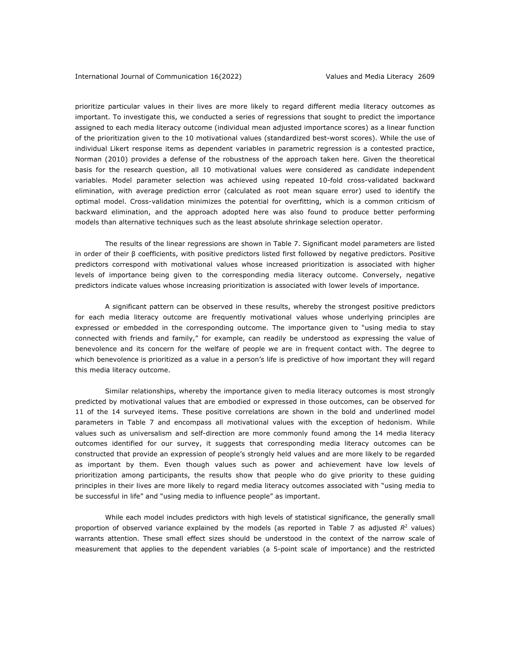prioritize particular values in their lives are more likely to regard different media literacy outcomes as important. To investigate this, we conducted a series of regressions that sought to predict the importance assigned to each media literacy outcome (individual mean adjusted importance scores) as a linear function of the prioritization given to the 10 motivational values (standardized best-worst scores). While the use of individual Likert response items as dependent variables in parametric regression is a contested practice, Norman (2010) provides a defense of the robustness of the approach taken here. Given the theoretical basis for the research question, all 10 motivational values were considered as candidate independent variables. Model parameter selection was achieved using repeated 10-fold cross-validated backward elimination, with average prediction error (calculated as root mean square error) used to identify the optimal model. Cross-validation minimizes the potential for overfitting, which is a common criticism of backward elimination, and the approach adopted here was also found to produce better performing models than alternative techniques such as the least absolute shrinkage selection operator.

The results of the linear regressions are shown in Table 7. Significant model parameters are listed in order of their β coefficients, with positive predictors listed first followed by negative predictors. Positive predictors correspond with motivational values whose increased prioritization is associated with higher levels of importance being given to the corresponding media literacy outcome. Conversely, negative predictors indicate values whose increasing prioritization is associated with lower levels of importance.

A significant pattern can be observed in these results, whereby the strongest positive predictors for each media literacy outcome are frequently motivational values whose underlying principles are expressed or embedded in the corresponding outcome. The importance given to "using media to stay connected with friends and family," for example, can readily be understood as expressing the value of benevolence and its concern for the welfare of people we are in frequent contact with. The degree to which benevolence is prioritized as a value in a person's life is predictive of how important they will regard this media literacy outcome.

Similar relationships, whereby the importance given to media literacy outcomes is most strongly predicted by motivational values that are embodied or expressed in those outcomes, can be observed for 11 of the 14 surveyed items. These positive correlations are shown in the bold and underlined model parameters in Table 7 and encompass all motivational values with the exception of hedonism. While values such as universalism and self-direction are more commonly found among the 14 media literacy outcomes identified for our survey, it suggests that corresponding media literacy outcomes can be constructed that provide an expression of people's strongly held values and are more likely to be regarded as important by them. Even though values such as power and achievement have low levels of prioritization among participants, the results show that people who do give priority to these guiding principles in their lives are more likely to regard media literacy outcomes associated with "using media to be successful in life" and "using media to influence people" as important.

While each model includes predictors with high levels of statistical significance, the generally small proportion of observed variance explained by the models (as reported in Table 7 as adjusted  $R^2$  values) warrants attention. These small effect sizes should be understood in the context of the narrow scale of measurement that applies to the dependent variables (a 5-point scale of importance) and the restricted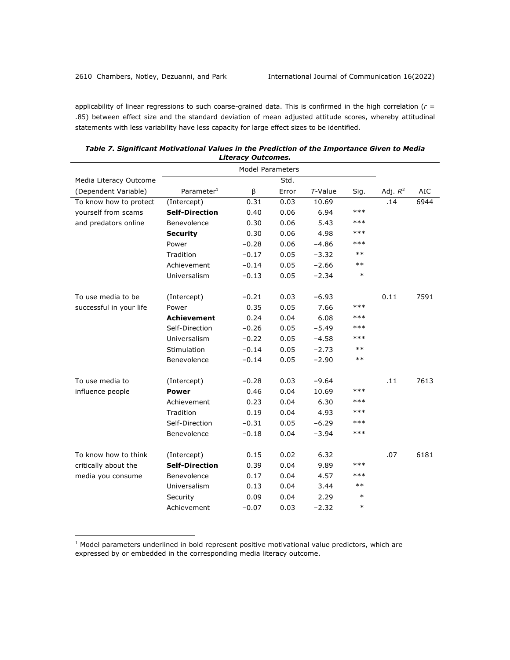applicability of linear regressions to such coarse-grained data. This is confirmed in the high correlation (*r* = .85) between effect size and the standard deviation of mean adjusted attitude scores, whereby attitudinal statements with less variability have less capacity for large effect sizes to be identified.

| <u>,,,,,,,,,,,</u><br><b>Model Parameters</b> |                        |         |       |            |        |            |            |
|-----------------------------------------------|------------------------|---------|-------|------------|--------|------------|------------|
| Media Literacy Outcome                        |                        |         | Std.  |            |        |            |            |
| (Dependent Variable)                          | Parameter <sup>1</sup> | β       | Error | $T$ -Value | Sig.   | Adj. $R^2$ | <b>AIC</b> |
| To know how to protect                        | (Intercept)            | 0.31    | 0.03  | 10.69      |        | .14        | 6944       |
| yourself from scams                           | <b>Self-Direction</b>  | 0.40    | 0.06  | 6.94       | ***    |            |            |
| and predators online                          | Benevolence            | 0.30    | 0.06  | 5.43       | $***$  |            |            |
|                                               | <b>Security</b>        | 0.30    | 0.06  | 4.98       | ***    |            |            |
|                                               | Power                  | $-0.28$ | 0.06  | $-4.86$    | ***    |            |            |
|                                               | Tradition              | $-0.17$ | 0.05  | $-3.32$    | $***$  |            |            |
|                                               | Achievement            | $-0.14$ | 0.05  | $-2.66$    | $***$  |            |            |
|                                               | Universalism           | $-0.13$ | 0.05  | $-2.34$    | $\ast$ |            |            |
|                                               |                        |         |       |            |        |            |            |
| To use media to be                            | (Intercept)            | $-0.21$ | 0.03  | $-6.93$    |        | 0.11       | 7591       |
| successful in your life                       | Power                  | 0.35    | 0.05  | 7.66       | ***    |            |            |
|                                               | <b>Achievement</b>     | 0.24    | 0.04  | 6.08       | ***    |            |            |
|                                               | Self-Direction         | $-0.26$ | 0.05  | $-5.49$    | ***    |            |            |
|                                               | Universalism           | $-0.22$ | 0.05  | $-4.58$    | ***    |            |            |
|                                               | Stimulation            | $-0.14$ | 0.05  | $-2.73$    | $***$  |            |            |
|                                               | Benevolence            | $-0.14$ | 0.05  | $-2.90$    | $***$  |            |            |
| To use media to                               | (Intercept)            | $-0.28$ | 0.03  | $-9.64$    |        | .11        | 7613       |
| influence people                              | <b>Power</b>           | 0.46    | 0.04  | 10.69      | $***$  |            |            |
|                                               | Achievement            | 0.23    | 0.04  | 6.30       | $***$  |            |            |
|                                               | Tradition              | 0.19    | 0.04  | 4.93       | $***$  |            |            |
|                                               | Self-Direction         | $-0.31$ | 0.05  | $-6.29$    | $***$  |            |            |
|                                               | Benevolence            | $-0.18$ | 0.04  | $-3.94$    | ***    |            |            |
|                                               |                        |         |       |            |        |            |            |
| To know how to think                          | (Intercept)            | 0.15    | 0.02  | 6.32       |        | .07        | 6181       |
| critically about the                          | <b>Self-Direction</b>  | 0.39    | 0.04  | 9.89       | ***    |            |            |
| media you consume                             | Benevolence            | 0.17    | 0.04  | 4.57       | ***    |            |            |
|                                               | Universalism           | 0.13    | 0.04  | 3.44       | $***$  |            |            |
|                                               | Security               | 0.09    | 0.04  | 2.29       | $\ast$ |            |            |
|                                               | Achievement            | $-0.07$ | 0.03  | $-2.32$    | $\ast$ |            |            |

*Table 7. Significant Motivational Values in the Prediction of the Importance Given to Media Literacy Outcomes.*

 $1$  Model parameters underlined in bold represent positive motivational value predictors, which are expressed by or embedded in the corresponding media literacy outcome.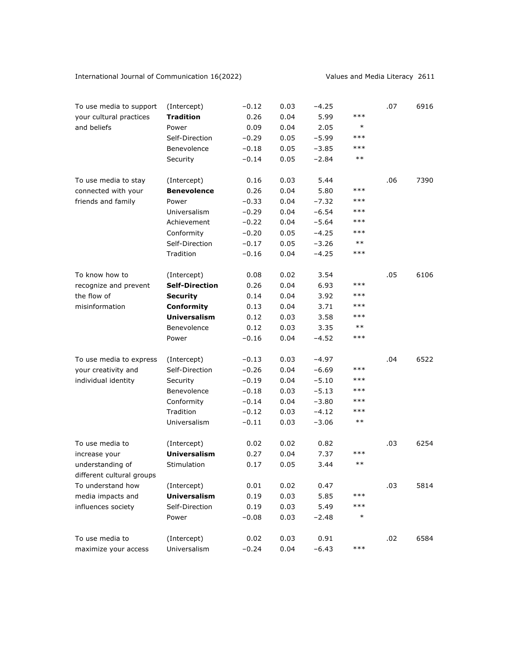International Journal of Communication 16(2022) Values and Media Literacy 2611

| To use media to support                       | (Intercept)           | $-0.12$ | 0.03 | $-4.25$ |        | .07 | 6916 |
|-----------------------------------------------|-----------------------|---------|------|---------|--------|-----|------|
| your cultural practices                       | <b>Tradition</b>      | 0.26    | 0.04 | 5.99    | ***    |     |      |
| and beliefs                                   | Power                 | 0.09    | 0.04 | 2.05    | $\ast$ |     |      |
|                                               | Self-Direction        | $-0.29$ | 0.05 | $-5.99$ | ***    |     |      |
|                                               | Benevolence           | $-0.18$ | 0.05 | $-3.85$ | ***    |     |      |
|                                               | Security              | $-0.14$ | 0.05 | $-2.84$ | $***$  |     |      |
| To use media to stay                          | (Intercept)           | 0.16    | 0.03 | 5.44    |        | .06 | 7390 |
| connected with your                           | <b>Benevolence</b>    | 0.26    | 0.04 | 5.80    | ***    |     |      |
| friends and family                            | Power                 | $-0.33$ | 0.04 | $-7.32$ | ***    |     |      |
|                                               | Universalism          | $-0.29$ | 0.04 | $-6.54$ | ***    |     |      |
|                                               | Achievement           | $-0.22$ | 0.04 | $-5.64$ | $***$  |     |      |
|                                               | Conformity            | $-0.20$ | 0.05 | $-4.25$ | ***    |     |      |
|                                               | Self-Direction        | $-0.17$ | 0.05 | $-3.26$ | $***$  |     |      |
|                                               | Tradition             | $-0.16$ | 0.04 | $-4.25$ | $***$  |     |      |
| To know how to                                | (Intercept)           | 0.08    | 0.02 | 3.54    |        | .05 | 6106 |
| recognize and prevent                         | <b>Self-Direction</b> | 0.26    | 0.04 | 6.93    | ***    |     |      |
| the flow of                                   | <b>Security</b>       | 0.14    | 0.04 | 3.92    | $***$  |     |      |
| misinformation                                | Conformity            | 0.13    | 0.04 | 3.71    | ***    |     |      |
|                                               | <b>Universalism</b>   | 0.12    | 0.03 | 3.58    | $***$  |     |      |
|                                               | Benevolence           | 0.12    | 0.03 | 3.35    | $***$  |     |      |
|                                               | Power                 | $-0.16$ | 0.04 | $-4.52$ | $***$  |     |      |
| To use media to express                       | (Intercept)           | $-0.13$ | 0.03 | $-4.97$ |        | .04 | 6522 |
| your creativity and                           | Self-Direction        | $-0.26$ | 0.04 | $-6.69$ | ***    |     |      |
| individual identity                           | Security              | $-0.19$ | 0.04 | $-5.10$ | ***    |     |      |
|                                               | Benevolence           | $-0.18$ | 0.03 | $-5.13$ | $***$  |     |      |
|                                               | Conformity            | $-0.14$ | 0.04 | $-3.80$ | ***    |     |      |
|                                               | Tradition             | $-0.12$ | 0.03 | $-4.12$ | $***$  |     |      |
|                                               | Universalism          | $-0.11$ | 0.03 | $-3.06$ | $***$  |     |      |
| To use media to                               | (Intercept)           | 0.02    | 0.02 | 0.82    |        | .03 | 6254 |
| increase your                                 | <b>Universalism</b>   | 0.27    | 0.04 | 7.37    | ***    |     |      |
| understanding of<br>different cultural groups | Stimulation           | 0.17    | 0.05 | 3.44    | $***$  |     |      |
| To understand how                             | (Intercept)           | 0.01    | 0.02 | 0.47    |        | .03 | 5814 |
| media impacts and                             | <b>Universalism</b>   | 0.19    | 0.03 | 5.85    | ***    |     |      |
| influences society                            | Self-Direction        | 0.19    | 0.03 | 5.49    | ***    |     |      |
|                                               | Power                 | $-0.08$ | 0.03 | $-2.48$ | $\ast$ |     |      |
| To use media to                               | (Intercept)           | 0.02    | 0.03 | 0.91    |        | .02 | 6584 |
| maximize your access                          | Universalism          | $-0.24$ | 0.04 | $-6.43$ | $***$  |     |      |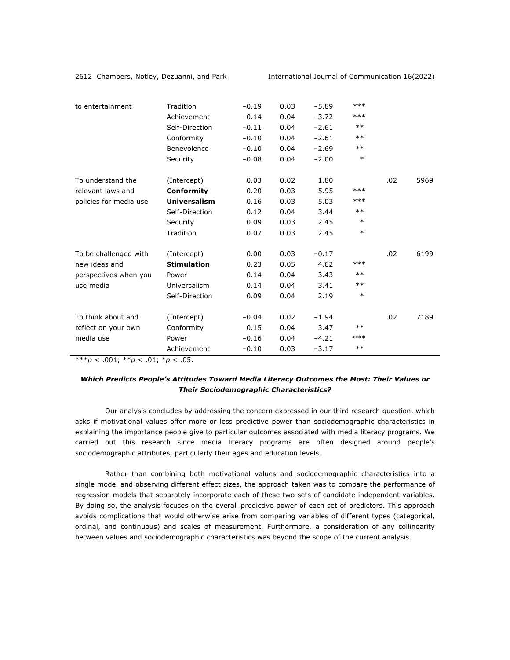|                        |                    |         |      |         | $***$  |     |      |
|------------------------|--------------------|---------|------|---------|--------|-----|------|
| to entertainment       | Tradition          | $-0.19$ | 0.03 | $-5.89$ |        |     |      |
|                        | Achievement        | $-0.14$ | 0.04 | $-3.72$ | $***$  |     |      |
|                        | Self-Direction     | $-0.11$ | 0.04 | $-2.61$ | $***$  |     |      |
|                        | Conformity         | $-0.10$ | 0.04 | $-2.61$ | $***$  |     |      |
|                        | Benevolence        | $-0.10$ | 0.04 | $-2.69$ | $***$  |     |      |
|                        | Security           | $-0.08$ | 0.04 | $-2.00$ | $\ast$ |     |      |
| To understand the      | (Intercept)        | 0.03    | 0.02 | 1.80    |        | .02 | 5969 |
| relevant laws and      | Conformity         | 0.20    | 0.03 | 5.95    | $***$  |     |      |
| policies for media use | Universalism       | 0.16    | 0.03 | 5.03    | $***$  |     |      |
|                        | Self-Direction     | 0.12    | 0.04 | 3.44    | $***$  |     |      |
|                        | Security           | 0.09    | 0.03 | 2.45    | $\ast$ |     |      |
|                        | Tradition          | 0.07    | 0.03 | 2.45    | $\ast$ |     |      |
| To be challenged with  | (Intercept)        | 0.00    | 0.03 | $-0.17$ |        | .02 | 6199 |
| new ideas and          | <b>Stimulation</b> | 0.23    | 0.05 | 4.62    | ***    |     |      |
| perspectives when you  | Power              | 0.14    | 0.04 | 3.43    | $***$  |     |      |
| use media              | Universalism       | 0.14    | 0.04 | 3.41    | $***$  |     |      |
|                        | Self-Direction     | 0.09    | 0.04 | 2.19    | $\ast$ |     |      |
| To think about and     | (Intercept)        | $-0.04$ | 0.02 | $-1.94$ |        | .02 | 7189 |
| reflect on your own    | Conformity         | 0.15    | 0.04 | 3.47    | $***$  |     |      |
| media use              | Power              | $-0.16$ | 0.04 | $-4.21$ | ***    |     |      |
|                        | Achievement        | $-0.10$ | 0.03 | $-3.17$ | $***$  |     |      |

\*\*\**p* < .001; \*\**p* < .01; \**p* < .05.

# *Which Predicts People's Attitudes Toward Media Literacy Outcomes the Most: Their Values or Their Sociodemographic Characteristics?*

Our analysis concludes by addressing the concern expressed in our third research question, which asks if motivational values offer more or less predictive power than sociodemographic characteristics in explaining the importance people give to particular outcomes associated with media literacy programs. We carried out this research since media literacy programs are often designed around people's sociodemographic attributes, particularly their ages and education levels.

Rather than combining both motivational values and sociodemographic characteristics into a single model and observing different effect sizes, the approach taken was to compare the performance of regression models that separately incorporate each of these two sets of candidate independent variables. By doing so, the analysis focuses on the overall predictive power of each set of predictors. This approach avoids complications that would otherwise arise from comparing variables of different types (categorical, ordinal, and continuous) and scales of measurement. Furthermore, a consideration of any collinearity between values and sociodemographic characteristics was beyond the scope of the current analysis.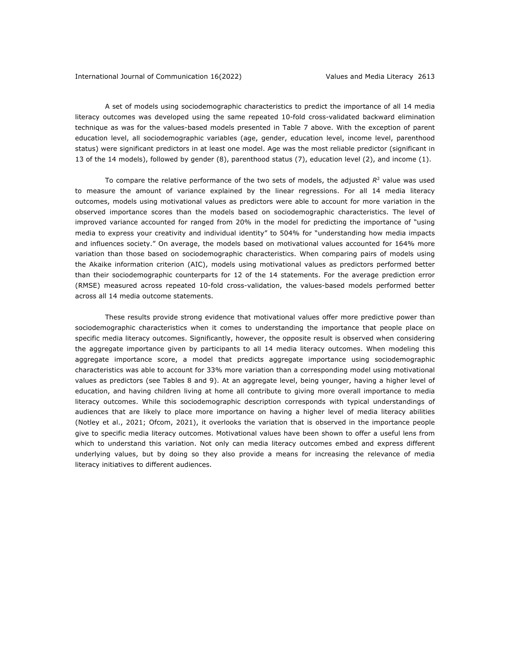A set of models using sociodemographic characteristics to predict the importance of all 14 media literacy outcomes was developed using the same repeated 10-fold cross-validated backward elimination technique as was for the values-based models presented in Table 7 above. With the exception of parent education level, all sociodemographic variables (age, gender, education level, income level, parenthood status) were significant predictors in at least one model. Age was the most reliable predictor (significant in 13 of the 14 models), followed by gender (8), parenthood status (7), education level (2), and income (1).

To compare the relative performance of the two sets of models, the adjusted  $R<sup>2</sup>$  value was used to measure the amount of variance explained by the linear regressions. For all 14 media literacy outcomes, models using motivational values as predictors were able to account for more variation in the observed importance scores than the models based on sociodemographic characteristics. The level of improved variance accounted for ranged from 20% in the model for predicting the importance of "using media to express your creativity and individual identity" to 504% for "understanding how media impacts and influences society." On average, the models based on motivational values accounted for 164% more variation than those based on sociodemographic characteristics. When comparing pairs of models using the Akaike information criterion (AIC), models using motivational values as predictors performed better than their sociodemographic counterparts for 12 of the 14 statements. For the average prediction error (RMSE) measured across repeated 10-fold cross-validation, the values-based models performed better across all 14 media outcome statements.

These results provide strong evidence that motivational values offer more predictive power than sociodemographic characteristics when it comes to understanding the importance that people place on specific media literacy outcomes. Significantly, however, the opposite result is observed when considering the aggregate importance given by participants to all 14 media literacy outcomes. When modeling this aggregate importance score, a model that predicts aggregate importance using sociodemographic characteristics was able to account for 33% more variation than a corresponding model using motivational values as predictors (see Tables 8 and 9). At an aggregate level, being younger, having a higher level of education, and having children living at home all contribute to giving more overall importance to media literacy outcomes. While this sociodemographic description corresponds with typical understandings of audiences that are likely to place more importance on having a higher level of media literacy abilities (Notley et al., 2021; Ofcom, 2021), it overlooks the variation that is observed in the importance people give to specific media literacy outcomes. Motivational values have been shown to offer a useful lens from which to understand this variation. Not only can media literacy outcomes embed and express different underlying values, but by doing so they also provide a means for increasing the relevance of media literacy initiatives to different audiences.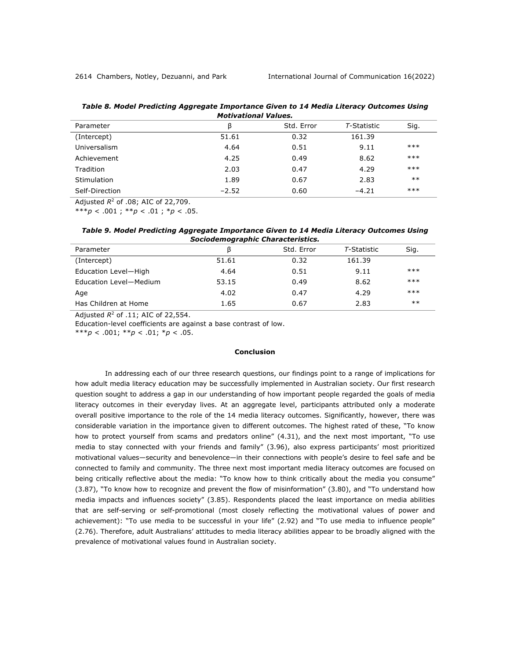| Table 8. Model Predicting Aggregate Importance Given to 14 Media Literacy Outcomes Using |
|------------------------------------------------------------------------------------------|
| <b>Motivational Values.</b>                                                              |

| Parameter      | β       | Std. Error | T-Statistic | Sig.  |  |  |  |  |
|----------------|---------|------------|-------------|-------|--|--|--|--|
| (Intercept)    | 51.61   | 0.32       | 161.39      |       |  |  |  |  |
| Universalism   | 4.64    | 0.51       | 9.11        | $***$ |  |  |  |  |
| Achievement    | 4.25    | 0.49       | 8.62        | $***$ |  |  |  |  |
| Tradition      | 2.03    | 0.47       | 4.29        | $***$ |  |  |  |  |
| Stimulation    | 1.89    | 0.67       | 2.83        | $**$  |  |  |  |  |
| Self-Direction | $-2.52$ | 0.60       | $-4.21$     | $***$ |  |  |  |  |
|                |         |            |             |       |  |  |  |  |

Adjusted *R*<sup>2</sup> of .08; AIC of 22,709.

\*\*\**p* < .001 ; \*\**p* < .01 ; \**p* < .05.

*Table 9. Model Predicting Aggregate Importance Given to 14 Media Literacy Outcomes Using Sociodemographic Characteristics.*

| Parameter              | ß     | Std. Error | T-Statistic | Sig.  |  |
|------------------------|-------|------------|-------------|-------|--|
| (Intercept)            | 51.61 | 0.32       | 161.39      |       |  |
| Education Level-High   | 4.64  | 0.51       | 9.11        | $***$ |  |
| Education Level-Medium | 53.15 | 0.49       | 8.62        | $***$ |  |
| Age                    | 4.02  | 0.47       | 4.29        | $***$ |  |
| Has Children at Home   | 1.65  | 0.67       | 2.83        | $**$  |  |
|                        |       |            |             |       |  |

Adjusted *R*<sup>2</sup> of .11; AIC of 22,554.

Education-level coefficients are against a base contrast of low.

\*\*\**p* < .001; \*\**p* < .01; \**p* < .05.

# **Conclusion**

In addressing each of our three research questions, our findings point to a range of implications for how adult media literacy education may be successfully implemented in Australian society. Our first research question sought to address a gap in our understanding of how important people regarded the goals of media literacy outcomes in their everyday lives. At an aggregate level, participants attributed only a moderate overall positive importance to the role of the 14 media literacy outcomes. Significantly, however, there was considerable variation in the importance given to different outcomes. The highest rated of these, "To know how to protect yourself from scams and predators online" (4.31), and the next most important, "To use media to stay connected with your friends and family" (3.96), also express participants' most prioritized motivational values—security and benevolence—in their connections with people's desire to feel safe and be connected to family and community. The three next most important media literacy outcomes are focused on being critically reflective about the media: "To know how to think critically about the media you consume" (3.87), "To know how to recognize and prevent the flow of misinformation" (3.80), and "To understand how media impacts and influences society" (3.85). Respondents placed the least importance on media abilities that are self-serving or self-promotional (most closely reflecting the motivational values of power and achievement): "To use media to be successful in your life" (2.92) and "To use media to influence people" (2.76). Therefore, adult Australians' attitudes to media literacy abilities appear to be broadly aligned with the prevalence of motivational values found in Australian society.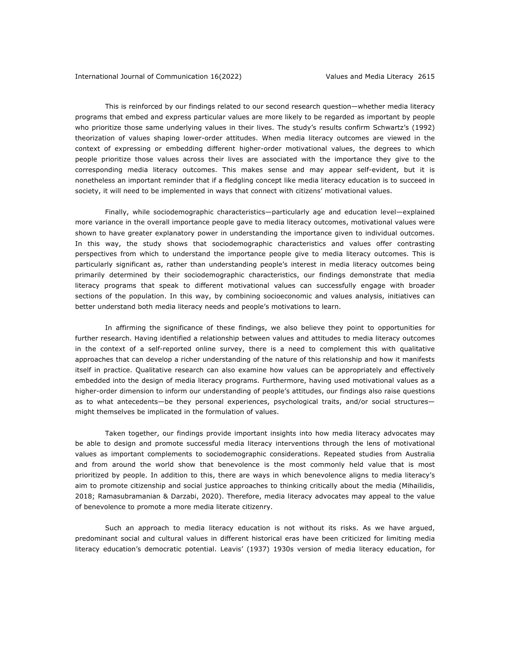This is reinforced by our findings related to our second research question—whether media literacy programs that embed and express particular values are more likely to be regarded as important by people who prioritize those same underlying values in their lives. The study's results confirm Schwartz's (1992) theorization of values shaping lower-order attitudes. When media literacy outcomes are viewed in the context of expressing or embedding different higher-order motivational values, the degrees to which people prioritize those values across their lives are associated with the importance they give to the corresponding media literacy outcomes. This makes sense and may appear self-evident, but it is nonetheless an important reminder that if a fledgling concept like media literacy education is to succeed in society, it will need to be implemented in ways that connect with citizens' motivational values.

Finally, while sociodemographic characteristics—particularly age and education level—explained more variance in the overall importance people gave to media literacy outcomes, motivational values were shown to have greater explanatory power in understanding the importance given to individual outcomes. In this way, the study shows that sociodemographic characteristics and values offer contrasting perspectives from which to understand the importance people give to media literacy outcomes. This is particularly significant as, rather than understanding people's interest in media literacy outcomes being primarily determined by their sociodemographic characteristics, our findings demonstrate that media literacy programs that speak to different motivational values can successfully engage with broader sections of the population. In this way, by combining socioeconomic and values analysis, initiatives can better understand both media literacy needs and people's motivations to learn.

In affirming the significance of these findings, we also believe they point to opportunities for further research. Having identified a relationship between values and attitudes to media literacy outcomes in the context of a self-reported online survey, there is a need to complement this with qualitative approaches that can develop a richer understanding of the nature of this relationship and how it manifests itself in practice. Qualitative research can also examine how values can be appropriately and effectively embedded into the design of media literacy programs. Furthermore, having used motivational values as a higher-order dimension to inform our understanding of people's attitudes, our findings also raise questions as to what antecedents—be they personal experiences, psychological traits, and/or social structures might themselves be implicated in the formulation of values.

Taken together, our findings provide important insights into how media literacy advocates may be able to design and promote successful media literacy interventions through the lens of motivational values as important complements to sociodemographic considerations. Repeated studies from Australia and from around the world show that benevolence is the most commonly held value that is most prioritized by people. In addition to this, there are ways in which benevolence aligns to media literacy's aim to promote citizenship and social justice approaches to thinking critically about the media (Mihailidis, 2018; Ramasubramanian & Darzabi, 2020). Therefore, media literacy advocates may appeal to the value of benevolence to promote a more media literate citizenry.

Such an approach to media literacy education is not without its risks. As we have argued, predominant social and cultural values in different historical eras have been criticized for limiting media literacy education's democratic potential. Leavis' (1937) 1930s version of media literacy education, for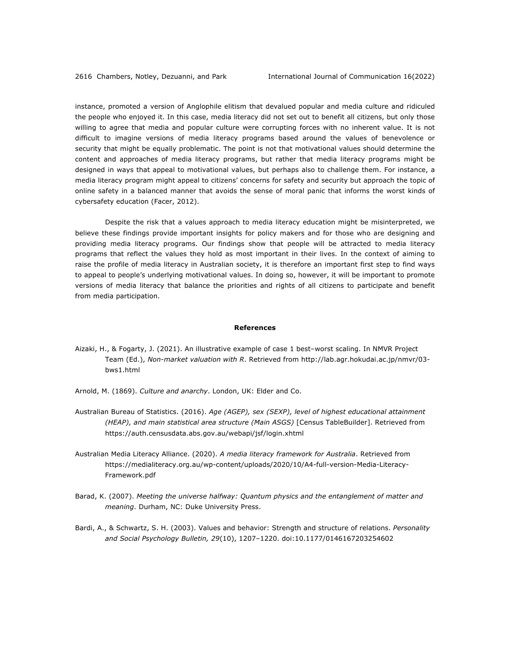instance, promoted a version of Anglophile elitism that devalued popular and media culture and ridiculed the people who enjoyed it. In this case, media literacy did not set out to benefit all citizens, but only those willing to agree that media and popular culture were corrupting forces with no inherent value. It is not difficult to imagine versions of media literacy programs based around the values of benevolence or security that might be equally problematic. The point is not that motivational values should determine the content and approaches of media literacy programs, but rather that media literacy programs might be designed in ways that appeal to motivational values, but perhaps also to challenge them. For instance, a media literacy program might appeal to citizens' concerns for safety and security but approach the topic of online safety in a balanced manner that avoids the sense of moral panic that informs the worst kinds of cybersafety education (Facer, 2012).

Despite the risk that a values approach to media literacy education might be misinterpreted, we believe these findings provide important insights for policy makers and for those who are designing and providing media literacy programs. Our findings show that people will be attracted to media literacy programs that reflect the values they hold as most important in their lives. In the context of aiming to raise the profile of media literacy in Australian society, it is therefore an important first step to find ways to appeal to people's underlying motivational values. In doing so, however, it will be important to promote versions of media literacy that balance the priorities and rights of all citizens to participate and benefit from media participation.

#### **References**

- Aizaki, H., & Fogarty, J. (2021). An illustrative example of case 1 best–worst scaling. In NMVR Project Team (Ed.), *Non-market valuation with R*. Retrieved from http://lab.agr.hokudai.ac.jp/nmvr/03 bws1.html
- Arnold, M. (1869). *Culture and anarchy*. London, UK: Elder and Co.
- Australian Bureau of Statistics. (2016). *Age (AGEP), sex (SEXP), level of highest educational attainment (HEAP), and main statistical area structure (Main ASGS)* [Census TableBuilder]. Retrieved from https://auth.censusdata.abs.gov.au/webapi/jsf/login.xhtml
- Australian Media Literacy Alliance. (2020). *A media literacy framework for Australia*. Retrieved from https://medialiteracy.org.au/wp-content/uploads/2020/10/A4-full-version-Media-Literacy-Framework.pdf
- Barad, K. (2007). *Meeting the universe halfway: Quantum physics and the entanglement of matter and meaning*. Durham, NC: Duke University Press.
- Bardi, A., & Schwartz, S. H. (2003). Values and behavior: Strength and structure of relations. *Personality and Social Psychology Bulletin, 29*(10), 1207–1220. doi:10.1177/0146167203254602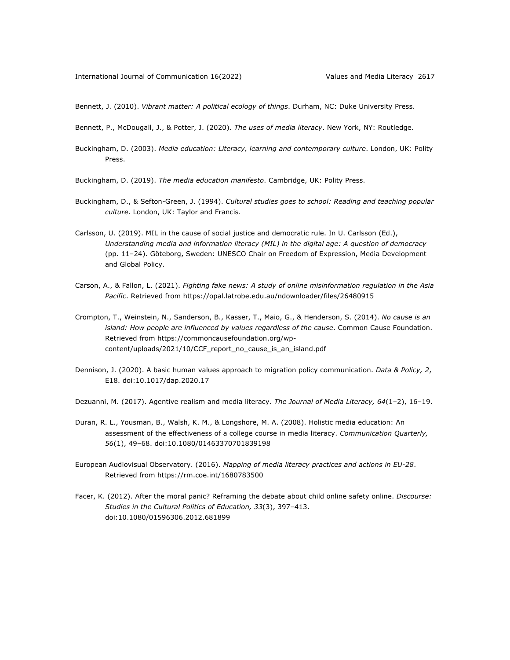Bennett, J. (2010). *Vibrant matter: A political ecology of things*. Durham, NC: Duke University Press.

Bennett, P., McDougall, J., & Potter, J. (2020). *The uses of media literacy*. New York, NY: Routledge.

Buckingham, D. (2003). *Media education: Literacy, learning and contemporary culture*. London, UK: Polity Press.

Buckingham, D. (2019). *The media education manifesto*. Cambridge, UK: Polity Press.

- Buckingham, D., & Sefton-Green, J. (1994). *Cultural studies goes to school: Reading and teaching popular culture*. London, UK: Taylor and Francis.
- Carlsson, U. (2019). MIL in the cause of social justice and democratic rule. In U. Carlsson (Ed.), *Understanding media and information literacy (MIL) in the digital age: A question of democracy* (pp. 11–24). Göteborg, Sweden: UNESCO Chair on Freedom of Expression, Media Development and Global Policy.
- Carson, A., & Fallon, L. (2021). *Fighting fake news: A study of online misinformation regulation in the Asia Pacific*. Retrieved from https://opal.latrobe.edu.au/ndownloader/files/26480915
- Crompton, T., Weinstein, N., Sanderson, B., Kasser, T., Maio, G., & Henderson, S. (2014). *No cause is an island: How people are influenced by values regardless of the cause*. Common Cause Foundation. Retrieved from https://commoncausefoundation.org/wpcontent/uploads/2021/10/CCF\_report\_no\_cause\_is\_an\_island.pdf
- Dennison, J. (2020). A basic human values approach to migration policy communication. *Data & Policy, 2*, E18. doi:10.1017/dap.2020.17

Dezuanni, M. (2017). Agentive realism and media literacy. *The Journal of Media Literacy, 64*(1–2), 16–19.

- Duran, R. L., Yousman, B., Walsh, K. M., & Longshore, M. A. (2008). Holistic media education: An assessment of the effectiveness of a college course in media literacy. *Communication Quarterly, 56*(1), 49–68. doi:10.1080/01463370701839198
- European Audiovisual Observatory. (2016). *Mapping of media literacy practices and actions in EU-28*. Retrieved from https://rm.coe.int/1680783500
- Facer, K. (2012). After the moral panic? Reframing the debate about child online safety online. *Discourse: Studies in the Cultural Politics of Education, 33*(3), 397–413. doi:10.1080/01596306.2012.681899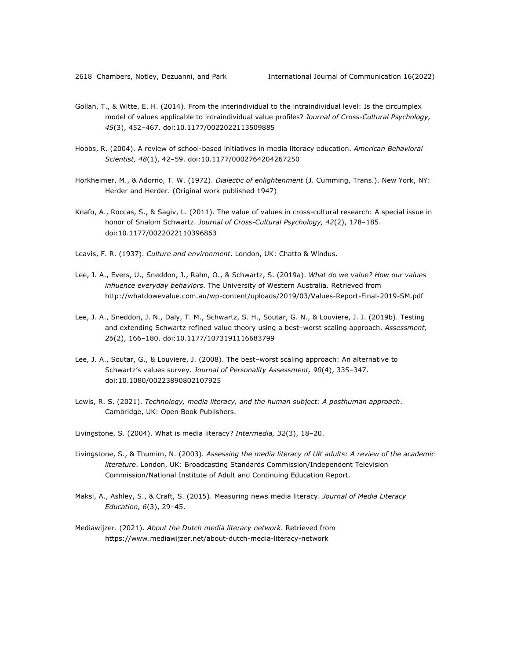- Gollan, T., & Witte, E. H. (2014). From the interindividual to the intraindividual level: Is the circumplex model of values applicable to intraindividual value profiles? *Journal of Cross-Cultural Psychology, 45*(3), 452–467. doi:10.1177/0022022113509885
- Hobbs, R. (2004). A review of school-based initiatives in media literacy education. *American Behavioral Scientist, 48*(1), 42–59. doi:10.1177/0002764204267250
- Horkheimer, M., & Adorno, T. W. (1972). *Dialectic of enlightenment* (J. Cumming, Trans.). New York, NY: Herder and Herder. (Original work published 1947)
- Knafo, A., Roccas, S., & Sagiv, L. (2011). The value of values in cross-cultural research: A special issue in honor of Shalom Schwartz. *Journal of Cross-Cultural Psychology, 42*(2), 178–185. doi:10.1177/0022022110396863
- Leavis, F. R. (1937). *Culture and environment*. London, UK: Chatto & Windus.
- Lee, J. A., Evers, U., Sneddon, J., Rahn, O., & Schwartz, S. (2019a). *What do we value? How our values influence everyday behaviors*. The University of Western Australia. Retrieved from http://whatdowevalue.com.au/wp-content/uploads/2019/03/Values-Report-Final-2019-SM.pdf
- Lee, J. A., Sneddon, J. N., Daly, T. M., Schwartz, S. H., Soutar, G. N., & Louviere, J. J. (2019b). Testing and extending Schwartz refined value theory using a best–worst scaling approach. *Assessment, 26*(2), 166–180. doi:10.1177/1073191116683799
- Lee, J. A., Soutar, G., & Louviere, J. (2008). The best–worst scaling approach: An alternative to Schwartz's values survey. *Journal of Personality Assessment, 90*(4), 335–347. doi:10.1080/00223890802107925
- Lewis, R. S. (2021). *Technology, media literacy, and the human subject: A posthuman approach*. Cambridge, UK: Open Book Publishers.
- Livingstone, S. (2004). What is media literacy? *Intermedia, 32*(3), 18–20.
- Livingstone, S., & Thumim, N. (2003). *Assessing the media literacy of UK adults: A review of the academic literature*. London, UK: Broadcasting Standards Commission/Independent Television Commission/National Institute of Adult and Continuing Education Report.
- Maksl, A., Ashley, S., & Craft, S. (2015). Measuring news media literacy. *Journal of Media Literacy Education, 6*(3), 29–45.
- Mediawijzer. (2021). *About the Dutch media literacy network*. Retrieved from https://www.mediawijzer.net/about-dutch-media-literacy-network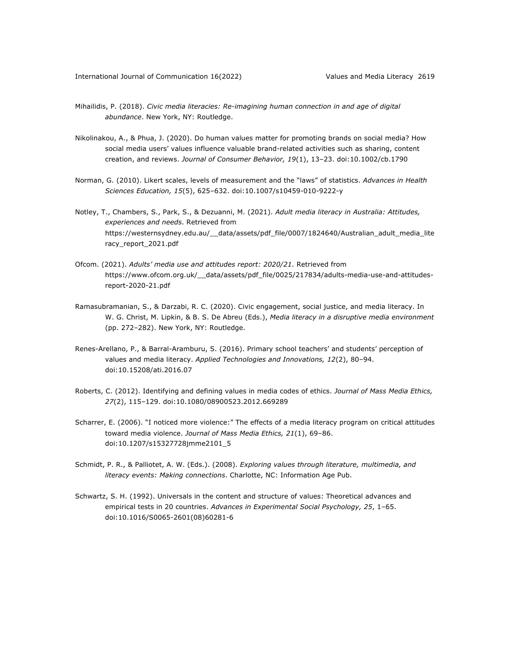- Mihailidis, P. (2018). *Civic media literacies: Re-imagining human connection in and age of digital abundance*. New York, NY: Routledge.
- Nikolinakou, A., & Phua, J. (2020). Do human values matter for promoting brands on social media? How social media users' values influence valuable brand-related activities such as sharing, content creation, and reviews. *Journal of Consumer Behavior, 19*(1), 13–23. doi:10.1002/cb.1790
- Norman, G. (2010). Likert scales, levels of measurement and the "laws" of statistics. *Advances in Health Sciences Education, 15*(5), 625–632. doi:10.1007/s10459-010-9222-y
- Notley, T., Chambers, S., Park, S., & Dezuanni, M. (2021). *Adult media literacy in Australia: Attitudes, experiences and needs*. Retrieved from https://westernsydney.edu.au/\_\_data/assets/pdf\_file/0007/1824640/Australian\_adult\_media\_lite racy\_report\_2021.pdf
- Ofcom. (2021). *Adults' media use and attitudes report: 2020/21*. Retrieved from https://www.ofcom.org.uk/\_\_data/assets/pdf\_file/0025/217834/adults-media-use-and-attitudesreport-2020-21.pdf
- Ramasubramanian, S., & Darzabi, R. C. (2020). Civic engagement, social justice, and media literacy. In W. G. Christ, M. Lipkin, & B. S. De Abreu (Eds.), *Media literacy in a disruptive media environment* (pp. 272–282). New York, NY: Routledge.
- Renes-Arellano, P., & Barral-Aramburu, S. (2016). Primary school teachers' and students' perception of values and media literacy. *Applied Technologies and Innovations, 12*(2), 80–94. doi:10.15208/ati.2016.07
- Roberts, C. (2012). Identifying and defining values in media codes of ethics. *Journal of Mass Media Ethics, 27*(2), 115–129. doi:10.1080/08900523.2012.669289
- Scharrer, E. (2006). "I noticed more violence:" The effects of a media literacy program on critical attitudes toward media violence. *Journal of Mass Media Ethics, 21*(1), 69–86. doi:10.1207/s15327728jmme2101\_5
- Schmidt, P. R., & Palliotet, A. W. (Eds.). (2008). *Exploring values through literature, multimedia, and literacy events: Making connections*. Charlotte, NC: Information Age Pub.
- Schwartz, S. H. (1992). Universals in the content and structure of values: Theoretical advances and empirical tests in 20 countries. *Advances in Experimental Social Psychology, 25*, 1–65. doi:10.1016/S0065-2601(08)60281-6